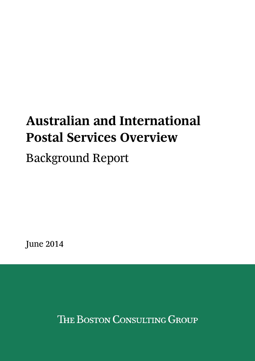# **Australian and International Postal Services Overview**

Background Report

June 2014

THE BOSTON CONSULTING GROUP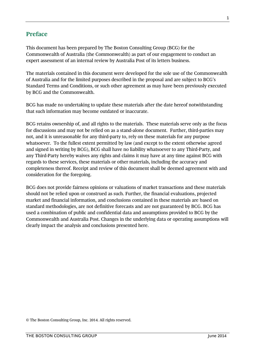# <span id="page-1-0"></span>**Preface**

This document has been prepared by The Boston Consulting Group (BCG) for the Commonwealth of Australia (the Commonwealth) as part of our engagement to conduct an expert assessment of an internal review by Australia Post of its letters business.

The materials contained in this document were developed for the sole use of the Commonwealth of Australia and for the limited purposes described in the proposal and are subject to BCG's Standard Terms and Conditions, or such other agreement as may have been previously executed by BCG and the Commonwealth.

BCG has made no undertaking to update these materials after the date hereof notwithstanding that such information may become outdated or inaccurate.

BCG retains ownership of, and all rights to the materials. These materials serve only as the focus for discussions and may not be relied on as a stand-alone document. Further, third-parties may not, and it is unreasonable for any third-party to, rely on these materials for any purpose whatsoever. To the fullest extent permitted by law (and except to the extent otherwise agreed and signed in writing by BCG), BCG shall have no liability whatsoever to any Third-Party, and any Third-Party hereby waives any rights and claims it may have at any time against BCG with regards to these services, these materials or other materials, including the accuracy and completeness thereof. Receipt and review of this document shall be deemed agreement with and consideration for the foregoing.

BCG does not provide fairness opinions or valuations of market transactions and these materials should not be relied upon or construed as such. Further, the financial evaluations, projected market and financial information, and conclusions contained in these materials are based on standard methodologies, are not definitive forecasts and are not guaranteed by BCG. BCG has used a combination of public and confidential data and assumptions provided to BCG by the Commonwealth and Australia Post. Changes in the underlying data or operating assumptions will clearly impact the analysis and conclusions presented here.

© The Boston Consulting Group, Inc. 2014. All rights reserved.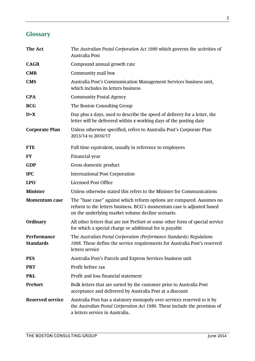<span id="page-2-0"></span>

| The Act                         | The Australian Postal Corporation Act 1989 which governs the activities of<br>Australia Post                                                                                                        |  |  |  |  |  |  |
|---------------------------------|-----------------------------------------------------------------------------------------------------------------------------------------------------------------------------------------------------|--|--|--|--|--|--|
| <b>CAGR</b>                     | Compound annual growth rate                                                                                                                                                                         |  |  |  |  |  |  |
| <b>CMB</b>                      | Community mail box                                                                                                                                                                                  |  |  |  |  |  |  |
| <b>CMS</b>                      | Australia Post's Communication Management Services business unit,<br>which includes its letters business                                                                                            |  |  |  |  |  |  |
| <b>CPA</b>                      | <b>Community Postal Agency</b>                                                                                                                                                                      |  |  |  |  |  |  |
| <b>BCG</b>                      | The Boston Consulting Group                                                                                                                                                                         |  |  |  |  |  |  |
| $D+X$                           | Day plus x days, used to describe the speed of delivery for a letter, the<br>letter will be delivered within x working days of the posting date                                                     |  |  |  |  |  |  |
| <b>Corporate Plan</b>           | Unless otherwise specified, refers to Australia Post's Corporate Plan<br>2013/14 to 2016/17                                                                                                         |  |  |  |  |  |  |
| <b>FTE</b>                      | Full time equivalent, usually in reference to employees                                                                                                                                             |  |  |  |  |  |  |
| <b>FY</b>                       | Financial year                                                                                                                                                                                      |  |  |  |  |  |  |
| <b>GDP</b>                      | Gross domestic product                                                                                                                                                                              |  |  |  |  |  |  |
| <b>IPC</b>                      | <b>International Post Corporation</b>                                                                                                                                                               |  |  |  |  |  |  |
| <b>LPO</b>                      | <b>Licensed Post Office</b>                                                                                                                                                                         |  |  |  |  |  |  |
| <b>Minister</b>                 | Unless otherwise stated this refers to the Minister for Communications                                                                                                                              |  |  |  |  |  |  |
| <b>Momentum case</b>            | The "base case" against which reform options are compared. Assumes no<br>reform to the letters business. BCG's momentum case is adjusted based<br>on the underlying market volume decline scenario. |  |  |  |  |  |  |
| Ordinary                        | All other letters that are not PreSort or some other form of special service<br>for which a special charge or additional fee is payable                                                             |  |  |  |  |  |  |
| Performance<br><b>Standards</b> | The Australian Postal Corporation (Performance Standards) Regulations<br>1998. These define the service requirements for Australia Post's reserved<br>letters service                               |  |  |  |  |  |  |
| <b>PES</b>                      | Australia Post's Parcels and Express Services business unit                                                                                                                                         |  |  |  |  |  |  |
| <b>PBT</b>                      | Profit before tax                                                                                                                                                                                   |  |  |  |  |  |  |
| P&L                             | Profit and loss financial statement                                                                                                                                                                 |  |  |  |  |  |  |
| <b>PreSort</b>                  | Bulk letters that are sorted by the customer prior to Australia Post<br>acceptance and delivered by Australia Post at a discount                                                                    |  |  |  |  |  |  |
| <b>Reserved service</b>         | Australia Post has a statutory monopoly over services reserved to it by<br>the Australian Postal Corporation Act 1989. These include the provision of<br>a letters service in Australia.            |  |  |  |  |  |  |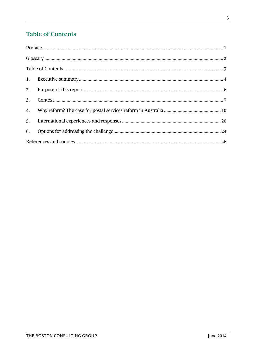# <span id="page-3-0"></span>**Table of Contents**

| 2.               |  |
|------------------|--|
| 3.               |  |
| $\overline{4}$ . |  |
| 5.               |  |
| 6.               |  |
|                  |  |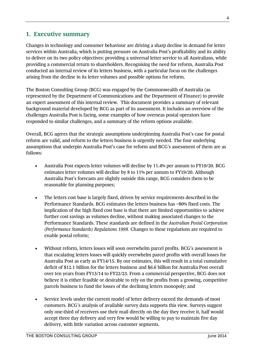## <span id="page-4-0"></span>**1. Executive summary**

Changes in technology and consumer behaviour are driving a sharp decline in demand for letter services within Australia, which is putting pressure on Australia Post's profitability and its ability to deliver on its two policy objectives: providing a universal letter service to all Australians, while providing a commercial return to shareholders. Recognising the need for reform, Australia Post conducted an internal review of its letters business, with a particular focus on the challenges arising from the decline in its letter volumes and possible options for reform.

The Boston Consulting Group (BCG) was engaged by the Commonwealth of Australia (as represented by the Department of Communications and the Department of Finance) to provide an expert assessment of this internal review. This document provides a summary of relevant background material developed by BCG as part of its assessment. It includes an overview of the challenges Australia Post is facing, some examples of how overseas postal operators have responded to similar challenges, and a summary of the reform options available.

Overall, BCG agrees that the strategic assumptions underpinning Australia Post's case for postal reform are valid, and reform to the letters business is urgently needed. The four underlying assumptions that underpin Australia Post's case for reform and BCG's assessment of them are as follows:

- Australia Post expects letter volumes will decline by 11.4% per annum to FY19/20. BCG estimates letter volumes will decline by 8 to 11% per annum to FY19/20. Although Australia Post's forecasts are slightly outside this range, BCG considers them to be reasonable for planning purposes;
- The letters cost base is largely fixed, driven by service requirements described in the Performance Standards. BCG estimates the letters business has ~80% fixed costs. The implication of the high fixed cost base is that there are limited opportunities to achieve further cost savings as volumes decline, without making associated changes to the Performance Standards. These standards are defined in the *Australian Postal Corporation (Performance Standards) Regulations 1998.* Changes to these regulations are required to enable postal reform;
- Without reform, letters losses will soon overwhelm parcel profits. BCG's assessment is that escalating letters losses will quickly overwhelm parcel profits with overall losses for Australia Post as early as FY14/15. By our estimates, this will result in a total cumulative deficit of \$12.1 billion for the letters business and \$6.6 billion for Australia Post overall over ten years from FY13/14 to FY22/23. From a commercial perspective, BCG does not believe it is either feasible or desirable to rely on the profits from a growing, competitive parcels business to fund the losses of the declining letters monopoly; and
- Service levels under the current model of letter delivery exceed the demands of most customers. BCG's analysis of available survey data supports this view. Surveys suggest only one-third of receivers use their mail directly on the day they receive it, half would accept three day delivery and very few would be willing to pay to maintain five day delivery, with little variation across customer segments.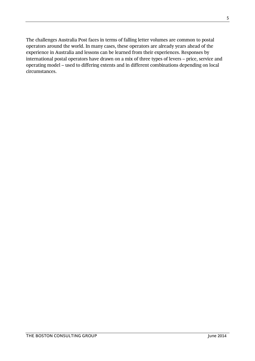The challenges Australia Post faces in terms of falling letter volumes are common to postal operators around the world. In many cases, these operators are already years ahead of the experience in Australia and lessons can be learned from their experiences. Responses by international postal operators have drawn on a mix of three types of levers – price, service and operating model – used to differing extents and in different combinations depending on local circumstances.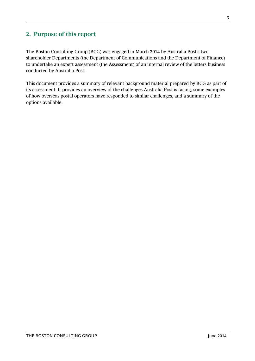# <span id="page-6-0"></span>**2. Purpose of this report**

The Boston Consulting Group (BCG) was engaged in March 2014 by Australia Post's two shareholder Departments (the Department of Communications and the Department of Finance) to undertake an expert assessment (the Assessment) of an internal review of the letters business conducted by Australia Post.

This document provides a summary of relevant background material prepared by BCG as part of its assessment. It provides an overview of the challenges Australia Post is facing, some examples of how overseas postal operators have responded to similar challenges, and a summary of the options available.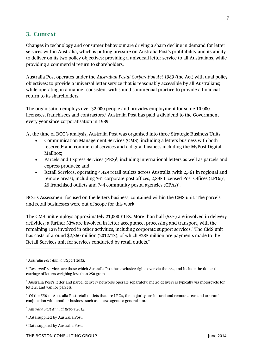## <span id="page-7-0"></span>**3. Context**

Changes in technology and consumer behaviour are driving a sharp decline in demand for letter services within Australia, which is putting pressure on Australia Post's profitability and its ability to deliver on its two policy objectives: providing a universal letter service to all Australians, while providing a commercial return to shareholders.

Australia Post operates under the *Australian Postal Corporation Act 1989* (the Act) with dual policy objectives: to provide a universal letter service that is reasonably accessible by all Australians; while operating in a manner consistent with sound commercial practice to provide a financial return to its shareholders.

The organisation employs over 32,000 people and provides employment for some 10,000 licensees, franchisees and contractors.<sup>1</sup> Australia Post has paid a dividend to the Government every year since corporatisation in 1989.

At the time of BCG's analysis, Australia Post was organised into three Strategic Business Units:

- Communication Management Services (CMS), including a letters business with both reserved<sup>2</sup> and commercial services and a digital business including the MyPost Digital Mailbox;
- Parcels and Express Services (PES)<sup>3</sup>, including international letters as well as parcels and express products; and
- Retail Services, operating 4,429 retail outlets across Australia (with 2,561 in regional and remote areas), including 761 corporate post offices, 2,895 Licensed Post Offices (LPOs)<sup>4</sup>, 29 franchised outlets and 744 community postal agencies (CPAs)<sup>5</sup>.

BCG's Assessment focused on the letters business, contained within the CMS unit. The parcels and retail businesses were out of scope for this work.

The CMS unit employs approximately 21,000 FTEs. More than half (55%) are involved in delivery activities; a further 33% are involved in letter acceptance, processing and transport, with the remaining 12% involved in other activities, including corporate support services.<sup>6</sup> The CMS unit has costs of around \$2,360 million (2012/13), of which \$235 million are payments made to the Retail Services unit for services conducted by retail outlets.<sup>7</sup>

<sup>7</sup> Data supplied by Australia Post.

<sup>1</sup> *Australia Post Annual Report 2013.*

<sup>2</sup> 'Reserved' services are those which Australia Post has exclusive rights over via the *Act*, and include the domestic carriage of letters weighing less than 250 grams.

<sup>3</sup> Australia Post's letter and parcel delivery networks operate separately: metro delivery is typically via motorcycle for letters, and van for parcels.

<sup>4</sup> Of the 66% of Australia Post retail outlets that are LPOs, the majority are in rural and remote areas and are run in conjunction with another business such as a newsagent or general store.

<sup>5</sup> *Australia Post Annual Report 2013.*

<sup>6</sup> Data supplied by Australia Post.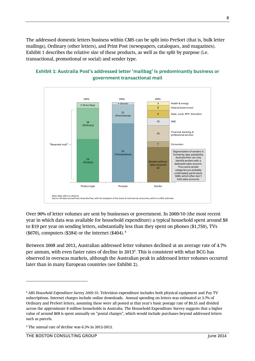The addressed domestic letters business within CMS can be split into PreSort (that is, bulk letter mailings), Ordinary (other letters), and Print Post (newspapers, catalogues, and magazines). Exhibit 1 describes the relative size of these products, as well as the split by purpose (i.e. transactional, promotional or social) and sender type.



## **Exhibit 1: Australia Post's addressed letter 'mailbag' is predominantly business or government transactional mail**

Over 90% of letter volumes are sent by businesses or government. In 2009/10 (the most recent year in which data was available for household expenditure) a typical household spent around \$8 to \$19 per year on sending letters, substantially less than they spent on phones (\$1,750), TVs (\$670), computers (\$384) or the internet (\$404).  $8$ 

Between 2008 and 2012, Australian addressed letter volumes declined at an average rate of 4.7% per annum, with even faster rates of decline in 2013<sup>9</sup> . This is consistent with what BCG has observed in overseas markets, although the Australian peak in addressed letter volumes occurred later than in many European countries (see Exhibit 2).

 $\overline{a}$ 

<sup>8</sup> *ABS Household Expenditure Survey 2009-10*. Television expenditure includes both physical equipment and Pay TV subscriptions. Internet charges include online downloads. Annual spending on letters was estimated at 3-7% of Ordinary and PreSort letters, assuming these were all posted at that year's basic postage rate of \$0.55 and divided across the approximate 8 million households in Australia. The Household Expenditure Survey suggests that a higher value of around \$68 is spent annually on "postal charges", which would include purchases beyond addressed letters such as parcels.

<sup>9</sup> The annual rate of decline was 6.3% in 2012-2013.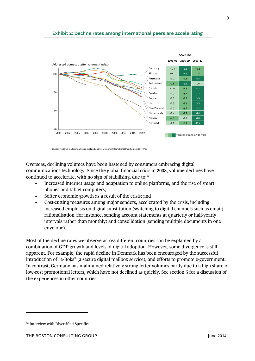

**Exhibit 2: Decline rates among international peers are accelerating**

Overseas, declining volumes have been hastened by consumers embracing digital communications technology. Since the global financial crisis in 2008, volume declines have continued to accelerate, with no sign of stabilising, due to: $10$ 

- Increased internet usage and adaptation to online platforms, and the rise of smart phones and tablet computers;
- Softer economic growth as a result of the crisis; and
- Cost-cutting measures among major senders, accelerated by the crisis, including increased emphasis on digital substitution (switching to digital channels such as email), rationalisation (for instance, sending account statements at quarterly or half-yearly intervals rather than monthly) and consolidation (sending multiple documents in one envelope).

Most of the decline rates we observe across different countries can be explained by a combination of GDP growth and levels of digital adoption. However, some divergence is still apparent. For example, the rapid decline in Denmark has been encouraged by the successful introduction of "e-Boks" (a secure digital mailbox service), and efforts to promote e-government. In contrast, Germany has maintained relatively strong letter volumes partly due to a high share of low-cost promotional letters, which have not declined as quickly. See section 5 for a discussion of the experiences in other countries.

<sup>&</sup>lt;sup>10</sup> Interview with Diversified Specifics.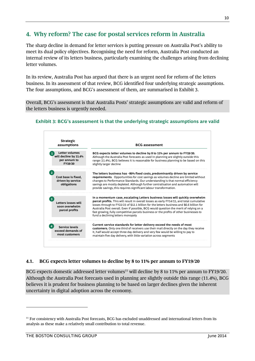# <span id="page-10-0"></span>**4. Why reform? The case for postal services reform in Australia**

The sharp decline in demand for letter services is putting pressure on Australia Post's ability to meet its dual policy objectives. Recognising the need for reform, Australia Post conducted an internal review of its letters business, particularly examining the challenges arising from declining letter volumes.

In its review, Australia Post has argued that there is an urgent need for reform of the letters business. In its assessment of that review, BCG identified four underlying strategic assumptions. The four assumptions, and BCG's assessment of them, are summarised in Exhibit 3.

Overall, BCG's assessment is that Australia Posts' strategic assumptions are valid and reform of the letters business is urgently needed.

**Exhibit 3: BCG's assessment is that the underlying strategic assumptions are valid**



#### **4.1. BCG expects letter volumes to decline by 8 to 11% per annum to FY19/20**

BCG expects domestic addressed letter volumes<sup>11</sup> will decline by 8 to 11% per annum to FY19/20. Although the Australia Post forecasts used in planning are slightly outside this range (11.4%), BCG believes it is prudent for business planning to be based on larger declines given the inherent uncertainty in digital adoption across the economy.

<sup>11</sup> For consistency with Australia Post forecasts, BCG has excluded unaddressed and international letters from its analysis as these make a relatively small contribution to total revenue.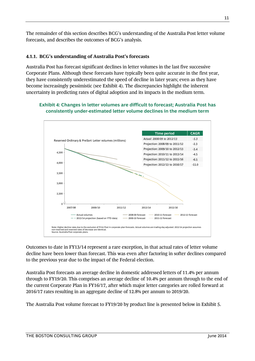The remainder of this section describes BCG's understanding of the Australia Post letter volume forecasts, and describes the outcomes of BCG's analysis.

## **4.1.1. BCG's understanding of Australia Post's forecasts**

Australia Post has forecast significant declines in letter volumes in the last five successive Corporate Plans. Although these forecasts have typically been quite accurate in the first year, they have consistently underestimated the speed of decline in later years; even as they have become increasingly pessimistic (see Exhibit 4). The discrepancies highlight the inherent uncertainty in predicting rates of digital adoption and its impacts in the medium term.

#### **Exhibit 4: Changes in letter volumes are difficult to forecast; Australia Post has consistently under-estimated letter volume declines in the medium term**



Outcomes to date in FY13/14 represent a rare exception, in that actual rates of letter volume decline have been lower than forecast. This was even after factoring in softer declines compared to the previous year due to the impact of the Federal election.

Australia Post forecasts an average decline in domestic addressed letters of 11.4% per annum through to FY19/20. This comprises an average decline of 10.4% per annum through to the end of the current Corporate Plan in FY16/17, after which major letter categories are rolled forward at 2016/17 rates resulting in an aggregate decline of 12.8% per annum to 2019/20.

The Australia Post volume forecast to FY19/20 by product line is presented below in Exhibit 5.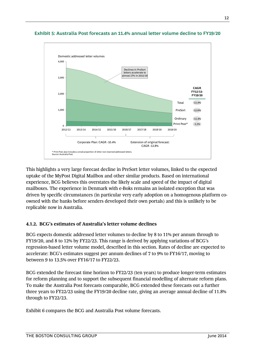

#### **Exhibit 5: Australia Post forecasts an 11.4% annual letter volume decline to FY19/20**

This highlights a very large forecast decline in PreSort letter volumes, linked to the expected uptake of the MyPost Digital Mailbox and other similar products. Based on international experience, BCG believes this overstates the likely scale and speed of the impact of digital mailboxes. The experience in Denmark with e-Boks remains an isolated exception that was driven by specific circumstances (in particular very early adoption on a homogenous platform coowned with the banks before senders developed their own portals) and this is unlikely to be replicable now in Australia.

#### **4.1.2. BCG's estimates of Australia's letter volume declines**

BCG expects domestic addressed letter volumes to decline by 8 to 11% per annum through to FY19/20, and 8 to 12% by FY22/23. This range is derived by applying variations of BCG's regression-based letter volume model, described in this section. Rates of decline are expected to accelerate: BCG's estimates suggest per annum declines of 7 to 9% to FY16/17, moving to between 9 to 13.5% over FY16/17 to FY22/23.

BCG extended the forecast time horizon to FY22/23 (ten years) to produce longer-term estimates for reform planning and to support the subsequent financial modelling of alternate reform plans. To make the Australia Post forecasts comparable, BCG extended these forecasts out a further three years to FY22/23 using the FY19/20 decline rate, giving an average annual decline of 11.8% through to FY22/23.

Exhibit 6 compares the BCG and Australia Post volume forecasts.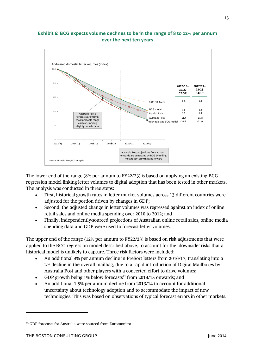#### **Exhibit 6: BCG expects volume declines to be in the range of 8 to 12% per annum over the next ten years**



The lower end of the range (8% per annum to FY22/23) is based on applying an existing BCG regression model linking letter volumes to digital adoption that has been tested in other markets. The analysis was conducted in three steps:

- First, historical growth rates in letter market volumes across 13 different countries were adjusted for the portion driven by changes in GDP;
- Second, the adjusted change in letter volumes was regressed against an index of online retail sales and online media spending over 2010 to 2012; and
- Finally, independently-sourced projections of Australian online retail sales, online media spending data and GDP were used to forecast letter volumes.

The upper end of the range (12% per annum to FY22/23) is based on risk adjustments that were applied to the BCG regression model described above, to account for the 'downside' risks that a historical model is unlikely to capture. Three risk factors were included:

- An additional 4% per annum decline in PreSort letters from 2016/17, translating into a 2% decline in the overall mailbag, due to a rapid introduction of Digital Mailboxes by Australia Post and other players with a concerted effort to drive volumes;
- GDP growth being 1% below forecasts<sup>12</sup> from 2014/15 onwards; and
- An additional 1.5% per annum decline from 2013/14 to account for additional uncertainty about technology adoption and to accommodate the impact of new technologies. This was based on observations of typical forecast errors in other markets.

<sup>12</sup> GDP forecasts for Australia were sourced from Euromonitor.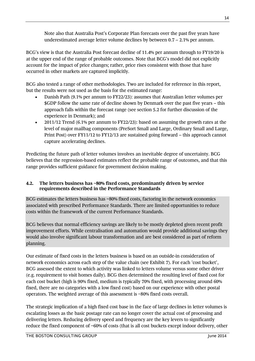Note also that Australia Post's Corporate Plan forecasts over the past five years have underestimated average letter volume declines by between 0.7 – 2.1% per annum.

BCG's view is that the Australia Post forecast decline of 11.4% per annum through to FY19/20 is at the upper end of the range of probable outcomes. Note that BCG's model did not explicitly account for the impact of price changes; rather, price rises consistent with those that have occurred in other markets are captured implicitly.

BCG also tested a range of other methodologies. Two are included for reference in this report, but the results were not used as the basis for the estimated range:

- Danish Path (9.1% per annum to FY22/23): assumes that Australian letter volumes per \$GDP follow the same rate of decline shown by Denmark over the past five years – this approach falls within the forecast range (see section 5.2 for further discussion of the experience in Denmark); and
- 2011/12 Trend (6.1% per annum to FY22/23): based on assuming the growth rates at the level of major mailbag components (PreSort Small and Large, Ordinary Small and Large, Print Post) over FY11/12 to FY12/13 are sustained going forward – this approach cannot capture accelerating declines.

Predicting the future path of letter volumes involves an inevitable degree of uncertainty. BCG believes that the regression-based estimates reflect the probable range of outcomes, and that this range provides sufficient guidance for government decision making.

#### **4.2. The letters business has ~80% fixed costs, predominantly driven by service requirements described in the Performance Standards**

BCG estimates the letters business has ~80% fixed costs, factoring in the network economics associated with prescribed Performance Standards. There are limited opportunities to reduce costs within the framework of the current Performance Standards.

BCG believes that normal efficiency savings are likely to be mostly depleted given recent profit improvement efforts. While centralisation and automation would provide additional savings they would also involve significant labour transformation and are best considered as part of reform planning.

Our estimate of fixed costs in the letters business is based on an outside-in consideration of network economics across each step of the value chain (see Exhibit 7). For each 'cost bucket', BCG assessed the extent to which activity was linked to letters volume versus some other driver (e.g. requirement to visit homes daily). BCG then determined the resulting level of fixed cost for each cost bucket (high is 90% fixed, medium is typically 70% fixed, with processing around 60% fixed, there are no categories with a low fixed cost) based on our experience with other postal operators. The weighted average of this assessment is ~80% fixed costs overall.

The strategic implication of a high fixed cost base in the face of large declines in letter volumes is escalating losses as the basic postage rate can no longer cover the actual cost of processing and delivering letters. Reducing delivery speed and frequency are the key levers to significantly reduce the fixed component of ~60% of costs (that is all cost buckets except indoor delivery, other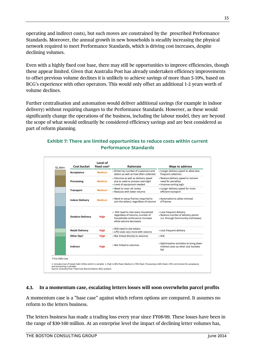operating and indirect costs), but such moves are constrained by the prescribed Performance Standards. Moreover, the annual growth in new households is steadily increasing the physical network required to meet Performance Standards, which is driving cost increases, despite declining volumes.

Even with a highly fixed cost base, there may still be opportunities to improve efficiencies, though these appear limited. Given that Australia Post has already undertaken efficiency improvements to offset previous volume declines it is unlikely to achieve savings of more than 5-10%, based on BCG's experience with other operators. This would only offset an additional 1-2 years worth of volume declines.

Further centralisation and automation would deliver additional savings (for example in indoor delivery) without requiring changes to the Performance Standards. However, as these would significantly change the operations of the business, including the labour model, they are beyond the scope of what would ordinarily be considered efficiency savings and are best considered as part of reform planning.

| <b>Cost bucket</b><br>\$2,360m | Level of<br>fixed cost <sup>2</sup> | Rationale                                                                                                                              | <b>Ways to address</b>                                                                                |  |  |
|--------------------------------|-------------------------------------|----------------------------------------------------------------------------------------------------------------------------------------|-------------------------------------------------------------------------------------------------------|--|--|
| Acceptance                     | <b>Medium</b>                       | . Driven by number of customers and<br>letters as well as how often collected                                                          | • Longer delivery speed to allow less<br>frequent collection                                          |  |  |
| Processing                     | <b>Medium</b>                       | . Volumes as well as delivery speed<br>due to need to process overnight<br>• Level of equipment needed                                 | • Reduce delivery speed to remove<br>need for penalties<br>• Improve sorting logic                    |  |  |
| Transport                      | <b>Medium</b>                       | • Need to cover all routes<br>• Reduces with lower volume                                                                              | • Longer delivery speed for more<br>efficient transport                                               |  |  |
| <b>Indoor Delivery</b>         | <b>Medium</b>                       | • Need to setup frames (required to<br>sort the letters) regardless of volume                                                          | . Automation to allow removal<br>of frames                                                            |  |  |
| <b>Outdoor Delivery</b>        | High                                | • Still need to visit every household<br>regardless of volume, number of<br>households continues to increase<br>while volume decreases | • Less frequent delivery<br>• Reduce number of delivery points<br>(i.e. through Community mail boxes) |  |  |
| <b>Retail Delivery</b>         | High                                | . Still need to slot letters<br>• LPO costs vary more with volume                                                                      | • Less frequent delivery                                                                              |  |  |
| Other Ops1                     | High                                | . Not linked directly to volumes                                                                                                       | $\bullet$ N/A                                                                                         |  |  |
| Indirect                       | High                                | . Not linked to volumes                                                                                                                | . Optimisation activities to bring down<br>indirect costs as other cost buckets<br>fall               |  |  |

## **Exhibit 7: There are limited opportunities to reduce costs within current Performance Standards**

## **4.3. In a momentum case, escalating letters losses will soon overwhelm parcel profits**

A momentum case is a "base case" against which reform options are compared. It assumes no reform to the letters business.

The letters business has made a trading loss every year since FY08/09. These losses have been in the range of \$30-160 million. At an enterprise level the impact of declining letter volumes has,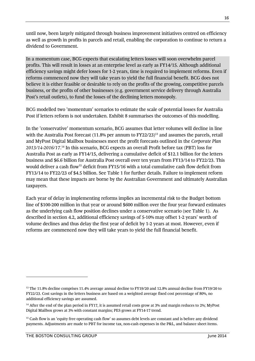until now, been largely mitigated through business improvement initiatives centred on efficiency as well as growth in profits in parcels and retail, enabling the corporation to continue to return a dividend to Government.

In a momentum case, BCG expects that escalating letters losses will soon overwhelm parcel profits. This will result in losses at an enterprise level as early as FY14/15. Although additional efficiency savings might defer losses for 1-2 years, time is required to implement reforms. Even if reforms commenced now they will take years to yield the full financial benefit. BCG does not believe it is either feasible or desirable to rely on the profits of the growing, competitive parcels business, or the profits of other businesses (e.g. government service delivery through Australia Post's retail outlets), to fund the losses of the declining letters monopoly.

BCG modelled two 'momentum' scenarios to estimate the scale of potential losses for Australia Post if letters reform is not undertaken. Exhibit 8 summarises the outcomes of this modelling.

In the 'conservative' momentum scenario, BCG assumes that letter volumes will decline in line with the Australia Post forecast (11.8% per annum to FY22/23)<sup>13</sup> and assumes the parcels, retail and MyPost Digital Mailbox businesses meet the profit forecasts outlined in the *Corporate Plan 2013/14-2016/17*. <sup>14</sup> In this scenario, BCG expects an overall Profit before tax (PBT) loss for Australia Post as early as FY14/15, delivering a cumulative deficit of \$12.1 billion for the letters business and \$6.6 billion for Australia Post overall over ten years from FY13/14 to FY22/23. This would deliver a cash flow<sup>15</sup> deficit from FY15/16 with a total cumulative cash flow deficit from FY13/14 to FY22/23 of \$4.5 billion. See Table 1 for further details. Failure to implement reform may mean that these impacts are borne by the Australian Government and ultimately Australian taxpayers.

Each year of delay in implementing reforms implies an incremental risk to the Budget bottom line of \$100-200 million in that year or around \$600 million over the four year forward estimates as the underlying cash flow position declines under a conservative scenario (see Table 1). As described in section 4.2, additional efficiency savings of 5-10% may offset 1-2 years' worth of volume declines and thus delay the first year of deficit by 1-2 years at most. However, even if reforms are commenced now they will take years to yield the full financial benefit.

<sup>&</sup>lt;sup>13</sup> The 11.8% decline comprises 11.4% average annual decline to FY19/20 and 12.8% annual decline from FY19/20 to FY22/23. Cost savings in the letters business are based on a weighted average fixed cost percentage of 80%, no additional efficiency savings are assumed.

<sup>&</sup>lt;sup>14</sup> After the end of the plan period in FY17, it is assumed retail costs grow at 3% and margin reduces to 2%; MyPost Digital Mailbox grows at 3% with constant margins; PES grows at FY14-17 trend.

<sup>&</sup>lt;sup>15</sup> Cash flow is an 'equity free operating cash flow' so assumes debt levels are constant and is before any dividend payments. Adjustments are made to PBT for income tax, non-cash expenses in the P&L, and balance sheet items.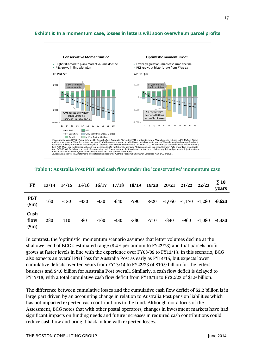

#### **Exhibit 8: In a momentum case, losses in letters will soon overwhelm parcel profits**

**Table 1: Australia Post PBT and cash flow under the 'conservative' momentum case**

| FY                    |     |        |        |        |        | 13/14 14/15 15/16 16/17 17/18 18/19 19/20 |        | 20/21  | 21/22 22/23                |        | $\Sigma$ 10<br>years |
|-----------------------|-----|--------|--------|--------|--------|-------------------------------------------|--------|--------|----------------------------|--------|----------------------|
| PBT<br>(\$m)          | 160 | $-150$ | $-330$ | $-450$ | $-640$ | -790                                      | $-920$ |        | $-1,050$ $-1,170$ $-1,280$ |        | -6.620               |
| Cash<br>flow<br>\$m\$ | 280 | 110    | -80    | $-160$ | $-430$ | $-580$                                    | $-710$ | $-840$ | $-960$                     | -1.080 | $-4,450$             |

In contrast, the 'optimistic' momentum scenario assumes that letter volumes decline at the shallower end of BCG's estimated range (8.4% per annum to FY22/23) and that parcels profit grows at faster levels in line with the experience over FY08/09 to FY12/13. In this scenario, BCG also expects an overall PBT loss for Australia Post as early as FY14/15, but expects lower cumulative deficits over ten years from FY13/14 to FY22/23 of \$10.9 billion for the letters business and \$4.0 billion for Australia Post overall. Similarly, a cash flow deficit is delayed to FY17/18, with a total cumulative cash flow deficit from FY13/14 to FY22/23 of \$1.9 billion.

The difference between cumulative losses and the cumulative cash flow deficit of \$2.2 billion is in large part driven by an accounting change in relation to Australia Post pension liabilities which has not impacted expected cash contributions to the fund. Although not a focus of the Assessment, BCG notes that with other postal operators, changes in investment markets have had significant impacts on funding needs and future increases in required cash contributions could reduce cash flow and bring it back in line with expected losses.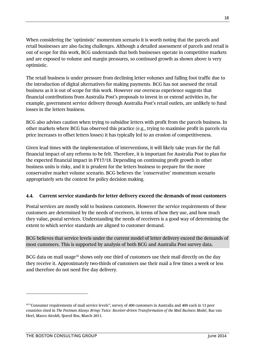When considering the 'optimistic' momentum scenario it is worth noting that the parcels and retail businesses are also facing challenges. Although a detailed assessment of parcels and retail is out of scope for this work, BCG understands that both businesses operate in competitive markets and are exposed to volume and margin pressures, so continued growth as shown above is very optimistic.

The retail business is under pressure from declining letter volumes and falling foot traffic due to the introduction of digital alternatives for making payments. BCG has not assessed the retail business as it is out of scope for this work. However our overseas experience suggests that financial contributions from Australia Post's proposals to invest in or extend activities in, for example, government service delivery through Australia Post's retail outlets, are unlikely to fund losses in the letters business.

BCG also advises caution when trying to subsidise letters with profit from the parcels business. In other markets where BCG has observed this practice (e.g., trying to maximise profit in parcels via price increases to offset letters losses) it has typically led to an erosion of competitiveness.

Given lead times with the implementation of interventions, it will likely take years for the full financial impact of any reforms to be felt. Therefore, it is important for Australia Post to plan for the expected financial impact in FY17/18. Depending on continuing profit growth in other business units is risky, and it is prudent for the letters business to prepare for the more conservative market volume scenario. BCG believes the 'conservative' momentum scenario appropriately sets the context for policy decision making.

## **4.4. Current service standards for letter delivery exceed the demands of most customers**

Postal services are mostly sold to business customers. However the service requirements of these customers are determined by the needs of receivers, in terms of how they use, and how much they value, postal services. Understanding the needs of receivers is a good way of determining the extent to which service standards are aligned to customer demand.

BCG believes that service levels under the current model of letter delivery exceed the demands of most customers. This is supported by analysis of both BCG and Australia Post survey data.

BCG data on mail usage<sup>16</sup> shows only one third of customers use their mail directly on the day they receive it. Approximately two-thirds of customers use their mail a few times a week or less and therefore do not need five day delivery.

<sup>16</sup> "Consumer requirements of mail service levels"; survey of 400 customers in Australia and 400 each in 13 peer countries cited in *The Postman Always Brings Twice: Receiver-driven Transformation of the Mail Business Model*, Bas van Heel, Marco Airoldi, Sjoerd Bos, March 2011.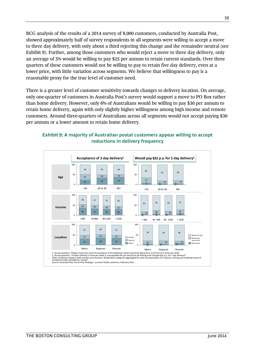BCG analysis of the results of a 2014 survey of 8,000 customers, conducted by Australia Post, showed approximately half of survey respondents in all segments were willing to accept a move to three day delivery, with only about a third rejecting this change and the remainder neutral (see Exhibit 9). Further, among those customers who would reject a move to three day delivery, only an average of 5% would be willing to pay \$25 per annum to retain current standards. Over three quarters of these customers would not be willing to pay to retain five day delivery, even at a lower price, with little variation across segments. We believe that willingness to pay is a reasonable proxy for the true level of customer need.

There is a greater level of customer sensitivity towards changes to delivery location. On average, only one-quarter of customers in Australia Post's survey would support a move to PO Box rather than home delivery. However, only 6% of Australians would be willing to pay \$30 per annum to retain home delivery, again with only slightly higher willingness among high income and remote customers. Around three-quarters of Australians across all segments would not accept paying \$30 per annum or a lower amount to retain home delivery.

#### **Exhibit 9: A majority of Australian postal customers appear willing to accept reductions in delivery frequency**

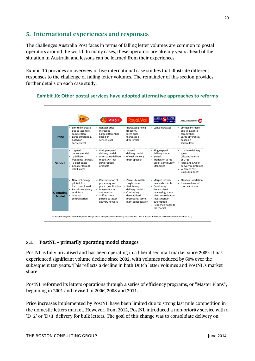# <span id="page-20-0"></span>**5. International experiences and responses**

The challenges Australia Post faces in terms of falling letter volumes are common to postal operators around the world. In many cases, these operators are already years ahead of the situation in Australia and lessons can be learned from their experiences.

Exhibit 10 provides an overview of five international case studies that illustrate different responses to the challenge of falling letter volumes. The remainder of this section provides further details on each case study.



#### **Exhibit 10: Other postal services have adopted alternative approaches to reforms**

## **5.1. PostNL – primarily operating model changes**

PostNL is fully privatised and has been operating in a liberalised mail market since 2009. It has experienced significant volume decline since 2002, with volumes reduced by 60% over the subsequent ten years. This reflects a decline in both Dutch letter volumes and PostNL's market share.

PostNL reformed its letters operations through a series of efficiency programs, or "Master Plans", beginning in 2001 and revised in 2006, 2008 and 2011.

Price increases implemented by PostNL have been limited due to strong last mile competition in the domestic letters market. However, from 2012, PostNL introduced a non-priority service with a 'D+2' or 'D+3' delivery for bulk letters. The goal of this change was to consolidate delivery on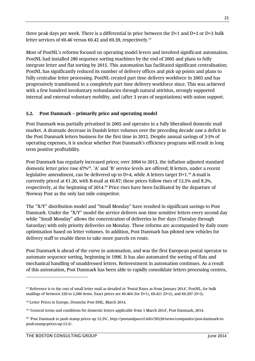three peak days per week. There is a differential in price between the D+1 and D+2 or D+3 bulk letter services of €0.46 versus €0.42 and €0.39, respectively.<sup>17</sup>

Most of PostNL's reforms focused on operating model levers and involved significant automation. PostNL had installed 286 sequence sorting machines by the end of 2005 and plans to fully integrate letter and flat sorting by 2015. This automation has facilitated significant centralisation; PostNL has significantly reduced its number of delivery offices and pick up points and plans to fully centralise letter processing. PostNL created part time delivery workforce in 2003 and has progressively transitioned to a completely part time delivery workforce since. This was achieved with a few hundred involuntary redundancies through natural attrition, strongly supported internal and external voluntary mobility, and (after 3 years of negotiations) with union support.

## **5.2. Post Danmark – primarily price and operating model**

Post Danmark was partially privatised in 2005 and operates in a fully liberalised domestic mail market. A dramatic decrease in Danish letter volumes over the preceding decade saw a deficit in the Post Danmark letters business for the first time in 2012. Despite annual savings of 3-5% of operating expenses, it is unclear whether Post Danmark's efficiency programs will result in long term positive profitability.

Post Danmark has regularly increased prices; over 2004 to 2013, the inflation adjusted standard domestic letter price rose 67%<sup>18</sup>. 'A' and 'B' service levels are offered; B letters, under a recent legislative amendment, can be delivered up to D+4, while A letters target D+1.<sup>19</sup> A-mail is currently priced at  $\epsilon$ 1.20, with B-mail at  $\epsilon$ 0.87; these prices follow rises of 12.5% and 8.3%, respectively, at the beginning of 2014.<sup>20</sup> Price rises have been facilitated by the departure of Norway Post as the only last mile competitor.

The "X/Y" distribution model and "Small Monday" have resulted in significant savings to Post Danmark. Under the "X/Y" model the service delivers non time sensitive letters every second day while "Small Monday" allows the concentration of deliveries in five days (Tuesday through Saturday) with only priority deliveries on Monday. These reforms are accompanied by daily route optimisation based on letter volumes. In addition, Post Danmark has piloted new vehicles for delivery staff to enable them to take more parcels en route.

Post Danmark is ahead of the curve in automation, and was the first European postal operator to automate sequence sorting, beginning in 1996. It has also automated the sorting of flats and mechanical handling of unaddressed letters. Reinvestment in automation continues. As a result of this automation, Post Danmark has been able to rapidly consolidate letters processing centres,

<sup>17</sup> Reference is to the cost of small letter mail as detailed in 'Postal Rates as from January 2014', PostNL, for bulk mailings of between 250 to 2,500 items. Exact prices are  $\epsilon$ 0.464 (for D+1),  $\epsilon$ 0.421 (D+2), and  $\epsilon$ 0.397 (D+3).

<sup>18</sup> Letter Prices in Europe, Deutsche Post DHL, March 2014.

<sup>19</sup> 'General terms and conditions for domestic letters applicable from 1 March 2014', Post Danmark, 2014.

<sup>20</sup> 'Post Danmark to push stamp prices up 12.5%', http://postandparcel.info/58239/news/companies/post-danmark-topush-stamp-prices-up-12-5/.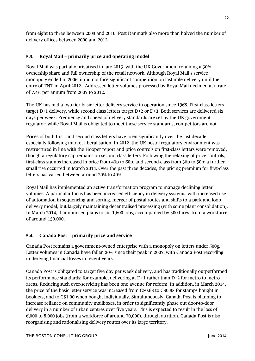from eight to three between 2003 and 2010. Post Danmark also more than halved the number of delivery offices between 2000 and 2012.

## **5.3. Royal Mail – primarily price and operating model**

Royal Mail was partially privatised in late 2013, with the UK Government retaining a 30% ownership share and full ownership of the retail network. Although Royal Mail's service monopoly ended in 2006, it did not face significant competition on last mile delivery until the entry of TNT in April 2012. Addressed letter volumes processed by Royal Mail declined at a rate of 7.4% per annum from 2007 to 2012.

The UK has had a two-tier basic letter delivery service in operation since 1968. First-class letters target D+1 delivery, while second class letters target D+2 or D+3. Both services are delivered six days per week. Frequency and speed of delivery standards are set by the UK government regulator; while Royal Mail is obligated to meet these service standards, competitors are not.

Prices of both first- and second-class letters have risen significantly over the last decade, especially following market liberalisation. In 2012, the UK postal regulatory environment was restructured in line with the Hooper report and price controls on first-class letters were removed, though a regulatory cap remains on second-class letters. Following the relaxing of price controls, first-class stamps increased in price from 46p to 60p, and second-class from 36p to 50p; a further small rise occurred in March 2014. Over the past three decades, the pricing premium for first-class letters has varied between around 20% to 40%.

Royal Mail has implemented an active transformation program to manage declining letter volumes. A particular focus has been increased efficiency in delivery systems, with increased use of automation in sequencing and sorting, merger of postal routes and shifts to a park and loop delivery model, but largely maintaining decentralised processing (with some plant consolidation). In March 2014, it announced plans to cut 1,600 jobs, accompanied by 300 hires, from a workforce of around 150,000.

## **5.4. Canada Post – primarily price and service**

Canada Post remains a government-owned enterprise with a monopoly on letters under 500g. Letter volumes in Canada have fallen 20% since their peak in 2007, with Canada Post recording underlying financial losses in recent years.

Canada Post is obligated to target five day per week delivery, and has traditionally outperformed its performance standards: for example, delivering at D+1 rather than D+2 for metro to metro areas. Reducing such over-servicing has been one avenue for reform. In addition, in March 2014, the price of the basic letter service was increased from C\$0.63 to C\$0.85 for stamps bought in booklets, and to C\$1.00 when bought individually. Simultaneously, Canada Post is planning to increase reliance on community mailboxes, in order to significantly phase out door-to-door delivery in a number of urban centres over five years. This is expected to result in the loss of 6,000 to 8,000 jobs (from a workforce of around 70,000), through attrition. Canada Post is also reorganising and rationalising delivery routes over its large territory.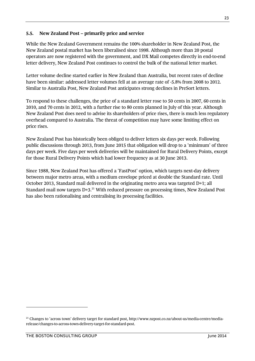#### **5.5. New Zealand Post – primarily price and service**

While the New Zealand Government remains the 100% shareholder in New Zealand Post, the New Zealand postal market has been liberalised since 1998. Although more than 20 postal operators are now registered with the government, and DX Mail competes directly in end-to-end letter delivery, New Zealand Post continues to control the bulk of the national letter market.

Letter volume decline started earlier in New Zealand than Australia, but recent rates of decline have been similar: addressed letter volumes fell at an average rate of -5.8% from 2008 to 2012. Similar to Australia Post, New Zealand Post anticipates strong declines in PreSort letters.

To respond to these challenges, the price of a standard letter rose to 50 cents in 2007, 60 cents in 2010, and 70 cents in 2012, with a further rise to 80 cents planned in July of this year. Although New Zealand Post does need to advise its shareholders of price rises, there is much less regulatory overhead compared to Australia. The threat of competition may have some limiting effect on price rises.

New Zealand Post has historically been obliged to deliver letters six days per week. Following public discussions through 2013, from June 2015 that obligation will drop to a 'minimum' of three days per week. Five days per week deliveries will be maintained for Rural Delivery Points, except for those Rural Delivery Points which had lower frequency as at 30 June 2013.

Since 1988, New Zealand Post has offered a 'FastPost' option, which targets next-day delivery between major metro areas, with a medium envelope priced at double the Standard rate. Until October 2013, Standard mail delivered in the originating metro area was targeted D+1; all Standard mail now targets D+3.<sup>21</sup> With reduced pressure on processing times, New Zealand Post has also been rationalising and centralising its processing facilities.

<sup>21</sup> Changes to 'across town' delivery target for standard post, http://www.nzpost.co.nz/about-us/media-centre/mediarelease/changes-to-across-town-delivery-target-for-standard-post.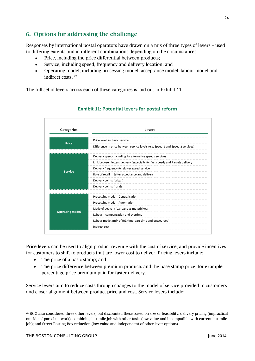# <span id="page-24-0"></span>**6. Options for addressing the challenge**

Responses by international postal operators have drawn on a mix of three types of levers – used to differing extents and in different combinations depending on the circumstances:

- Price, including the price differential between products;
- Service, including speed, frequency and delivery location; and
- Operating model, including processing model, acceptance model, labour model and indirect costs. <sup>22</sup>

The full set of levers across each of these categories is laid out in Exhibit 11.



## **Exhibit 11: Potential levers for postal reform**

Price levers can be used to align product revenue with the cost of service, and provide incentives for customers to shift to products that are lower cost to deliver. Pricing levers include:

- The price of a basic stamp; and
- The price difference between premium products and the base stamp price, for example percentage price premium paid for faster delivery.

Service levers aim to reduce costs through changes to the model of service provided to customers and closer alignment between product price and cost. Service levers include:

 $\overline{a}$ 

<sup>&</sup>lt;sup>22</sup> BCG also considered three other levers, but discounted these based on size or feasibility: delivery pricing (impractical outside of parcel network); combining last-mile job with other tasks (low value and incompatible with current last-mile job); and Street Posting Box reduction (low value and independent of other lever options).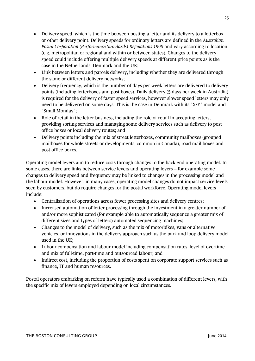- Delivery speed, which is the time between posting a letter and its delivery to a letterbox or other delivery point. Delivery speeds for ordinary letters are defined in the *Australian Postal Corporation (Performance Standards) Regulations 1998* and vary according to location (e.g. metropolitan or regional and within or between states). Changes to the delivery speed could include offering multiple delivery speeds at different price points as is the case in the Netherlands, Denmark and the UK;
- Link between letters and parcels delivery, including whether they are delivered through the same or different delivery networks;
- Delivery frequency, which is the number of days per week letters are delivered to delivery points (including letterboxes and post boxes). Daily delivery (5 days per week in Australia) is required for the delivery of faster speed services, however slower speed letters may only need to be delivered on some days. This is the case in Denmark with its "X/Y" model and "Small Monday";
- Role of retail in the letter business, including the role of retail in accepting letters, providing sorting services and managing some delivery services such as delivery to post office boxes or local delivery routes; and
- Delivery points including the mix of street letterboxes, community mailboxes (grouped mailboxes for whole streets or developments, common in Canada), road mail boxes and post office boxes.

Operating model levers aim to reduce costs through changes to the back-end operating model. In some cases, there are links between service levers and operating levers – for example some changes to delivery speed and frequency may be linked to changes in the processing model and the labour model. However, in many cases, operating model changes do not impact service levels seen by customers, but do require changes for the postal workforce. Operating model levers include:

- Centralisation of operations across fewer processing sites and delivery centres;
- Increased automation of letter processing through the investment in a greater number of and/or more sophisticated (for example able to automatically sequence a greater mix of different sizes and types of letters) automated sequencing machines;
- Changes to the model of delivery, such as the mix of motorbikes, vans or alternative vehicles, or innovations in the delivery approach such as the park and loop delivery model used in the UK;
- Labour compensation and labour model including compensation rates, level of overtime and mix of full-time, part-time and outsourced labour; and
- Indirect cost, including the proportion of costs spent on corporate support services such as finance, IT and human resources.

Postal operators embarking on reform have typically used a combination of different levers, with the specific mix of levers employed depending on local circumstances.